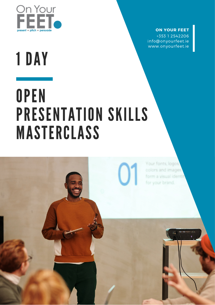

### **ON YOUR FEET**

+353 1 2542206 info@onyourfeet.ie www.onyourfeet.ie

# 1 DAY

## **OPEN** PRESENTATION SKILLS MASTERCLASS

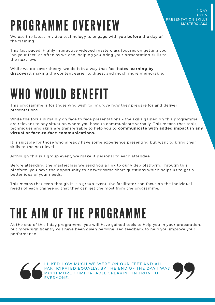### PROGRAMME OVERVIEW

We use the latest in video technology to engage with you **before** the day of the training.

This fast paced, highly interactive videoed masterclass focuses on getting you "on your feet" as often as we can, helping you bring your presentation skills to the next level.

While we do cover theory, we do it in a way that facilitates **learning by discovery**, making the content easier to digest and much more memorable.

### WHO WOULD BENEFIT

This programme is for those who wish to improve how they prepare for and deliver presentations.

While the focus is mainly on face to face presentations – the skills gained on this programme are relevant to any situation where you have to communicate verbally. This means that tools, techniques and skills are transferrable to help you to **communicate with added impact in any virtual or face-to-face communications.**

It is suitable for those who already have some experience presenting but want to bring their skills to the next level.

Although this is a group event, we make it personal to each attendee.

Before attending the masterclass we send you a link to our video platform. Through this platform, you have the opportunity to answer some short questions which helps us to get a better idea of your needs.

This means that even though it is a group event, the facilitator can focus on the individual needs of each trainee so that they can get the most from the programme.

### THE AIM OF THE PROGRAMME

At the end of this 1 day programme, you will have gained tools to help you in your preparation, but more significantly will have been given personalised feedback to help you improve your performance.



I LIKED HOW MUCH WE WERE ON OUR FEET AND ALL PARTICIPATED EQUALLY, BY THE END OF THE DAY I WAS MUCH MORE COMFORTABLE SPEAKING IN FRONT OF EVERYONE.



1 DAY OPEN PRESENTATION SKILLS **MASTERCLASS**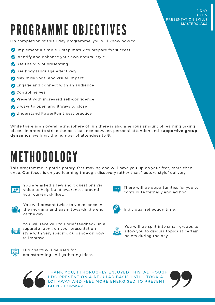## PROGRAMME OBJECTIVES

### PRESENTATION SKILLS MASTERCLASS

1 DAY **OPEN** 

On completion of this 1 day programme, you will know how to:

- $\bullet$  Implement a simple 3-step matrix to prepare for success
- Identify and enhance your own natural style
- Use the SSS of presenting
- Use body language effectively
- Maximise vocal and visual impact
- **C** Engage and connect with an audience
- Control nerves
- **Present with increased self-confidence**
- 8 ways to open and 8 ways to close
- Understand PowerPoint best practice

While there is an overall atmosphere of fun there is also a serious amount of learning taking place. In order to strike the best balance between personal attention and **supportive group dynamics**, we limit the number of attendees to **8**.

### METHODOLOGY

This programme is participatory, fast-moving and will have you up on your feet, more than once. Our focus is on you learning through discovery rather than "lecture-style" delivery.



You are asked a few short questions via video to help build awareness around your current skillset.



You will present twice to video, once in the morning and again towards the end of the day.



You will receive 1 to 1 brief feedback, in a separate room, on your presentation style with very specific guidance on how to improve.



Flip charts will be used for brainstorming and gathering ideas.



There will be opportunities for you to contribute formally and ad hoc.



Individual reflection time.



You will be split into small groups to allow you to discuss topics at certain points during the day.



THANK YOU, I THORUGHLY ENJOYED THIS. ALTHOUGH I DO PRESENT ON A REGULAR BASIS I STILL TOOK A LOT AWAY AND FEEL MORE ENERGISED TO PRESENT GOING FORWARD.